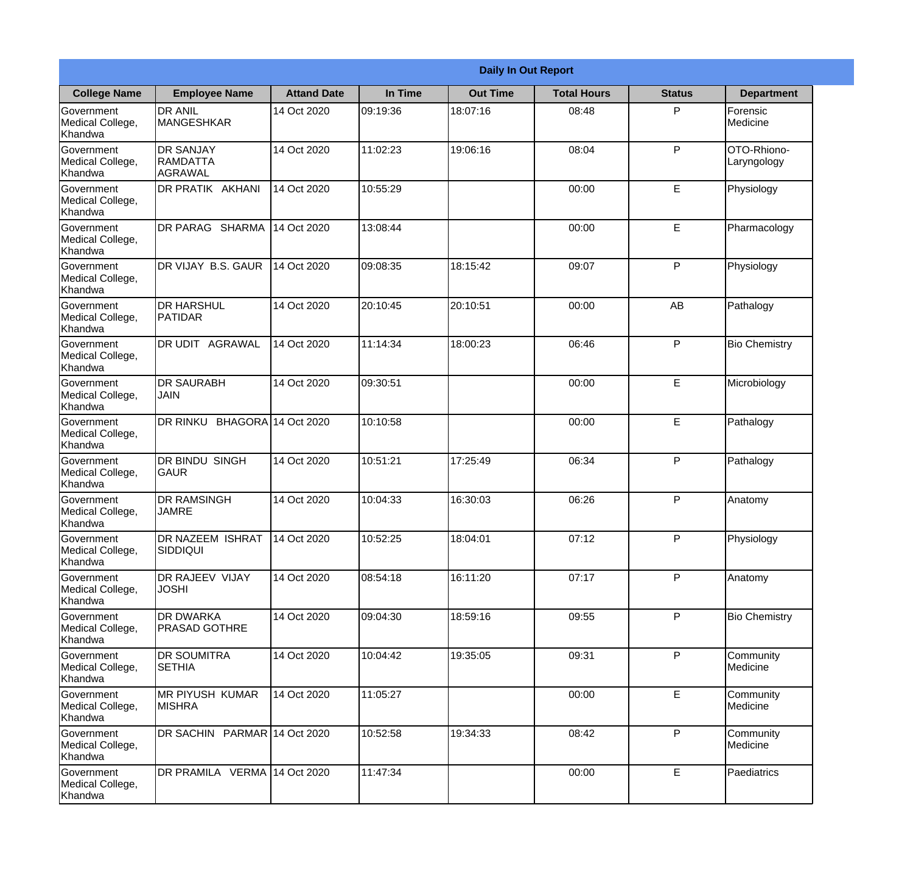|                                                  |                                                |                     |          | <b>Daily In Out Report</b> |                    |               |                            |
|--------------------------------------------------|------------------------------------------------|---------------------|----------|----------------------------|--------------------|---------------|----------------------------|
| <b>College Name</b>                              | <b>Employee Name</b>                           | <b>Attand Date</b>  | In Time  | <b>Out Time</b>            | <b>Total Hours</b> | <b>Status</b> | <b>Department</b>          |
| Government<br>Medical College,<br>Khandwa        | <b>DR ANIL</b><br><b>MANGESHKAR</b>            | 14 Oct 2020         | 09:19:36 | 18:07:16                   | 08:48              | P             | Forensic<br>Medicine       |
| Government<br>Medical College,<br>Khandwa        | <b>DR SANJAY</b><br><b>RAMDATTA</b><br>AGRAWAL | 14 Oct 2020         | 11:02:23 | 19:06:16                   | 08:04              | P             | OTO-Rhiono-<br>Laryngology |
| <b>Government</b><br>Medical College,<br>Khandwa | <b>IDR PRATIK AKHANI</b>                       | 14 Oct 2020         | 10:55:29 |                            | 00:00              | E             | Physiology                 |
| <b>Government</b><br>Medical College,<br>Khandwa | DR PARAG SHARMA                                | 14 Oct 2020         | 13:08:44 |                            | 00:00              | E             | Pharmacology               |
| Government<br>Medical College,<br>Khandwa        | DR VIJAY B.S. GAUR                             | 14 Oct 2020         | 09:08:35 | 18:15:42                   | 09:07              | P             | Physiology                 |
| Government<br>Medical College,<br>Khandwa        | <b>DR HARSHUL</b><br>PATIDAR                   | 14 Oct 2020         | 20:10:45 | 20:10:51                   | 00:00              | AB            | Pathalogy                  |
| <b>Government</b><br>Medical College,<br>Khandwa | <b>DR UDIT AGRAWAL</b>                         | 14 Oct 2020         | 11:14:34 | 18:00:23                   | 06:46              | P             | <b>Bio Chemistry</b>       |
| <b>Government</b><br>Medical College,<br>Khandwa | <b>DR SAURABH</b><br><b>JAIN</b>               | 14 Oct 2020         | 09:30:51 |                            | 00:00              | E             | Microbiology               |
| Government<br>Medical College,<br>Khandwa        | DR RINKU                                       | BHAGORA 14 Oct 2020 | 10:10:58 |                            | 00:00              | E             | Pathalogy                  |
| Government<br>Medical College,<br>Khandwa        | <b>DR BINDU SINGH</b><br> GAUR                 | 14 Oct 2020         | 10:51:21 | 17:25:49                   | 06:34              | P             | Pathalogy                  |
| Government<br>Medical College,<br>Khandwa        | <b>IDR RAMSINGH</b><br><b>JAMRE</b>            | 14 Oct 2020         | 10:04:33 | 16:30:03                   | 06:26              | P             | Anatomy                    |
| Government<br>Medical College,<br>Khandwa        | <b>DR NAZEEM ISHRAT</b><br><b>SIDDIQUI</b>     | 14 Oct 2020         | 10:52:25 | 18:04:01                   | 07:12              | P             | Physiology                 |
| Government<br>Medical College,<br>Khandwa        | <b>DR RAJEEV VIJAY</b><br><b>JOSHI</b>         | 14 Oct 2020         | 08:54:18 | 16:11:20                   | 07:17              | P             | Anatomy                    |
| Government<br>Medical College,<br>Khandwa        | <b>I</b> DR DWARKA<br><b>PRASAD GOTHRE</b>     | 14 Oct 2020         | 09:04:30 | 18:59:16                   | 09:55              | P             | <b>Bio Chemistry</b>       |
| <b>Government</b><br>Medical College,<br>Khandwa | <b>DR SOUMITRA</b><br><b>SETHIA</b>            | 14 Oct 2020         | 10:04:42 | 19:35:05                   | 09:31              | P             | Community<br>Medicine      |
| Government<br>Medical College,<br>Khandwa        | <b>MR PIYUSH KUMAR</b><br><b>MISHRA</b>        | 14 Oct 2020         | 11:05:27 |                            | 00:00              | E             | Community<br>Medicine      |
| Government<br>Medical College,<br>Khandwa        | DR SACHIN PARMAR 14 Oct 2020                   |                     | 10:52:58 | 19:34:33                   | 08:42              | P             | Community<br>Medicine      |
| Government<br>Medical College,<br>Khandwa        | DR PRAMILA VERMA 14 Oct 2020                   |                     | 11:47:34 |                            | 00:00              | $\mathsf E$   | Paediatrics                |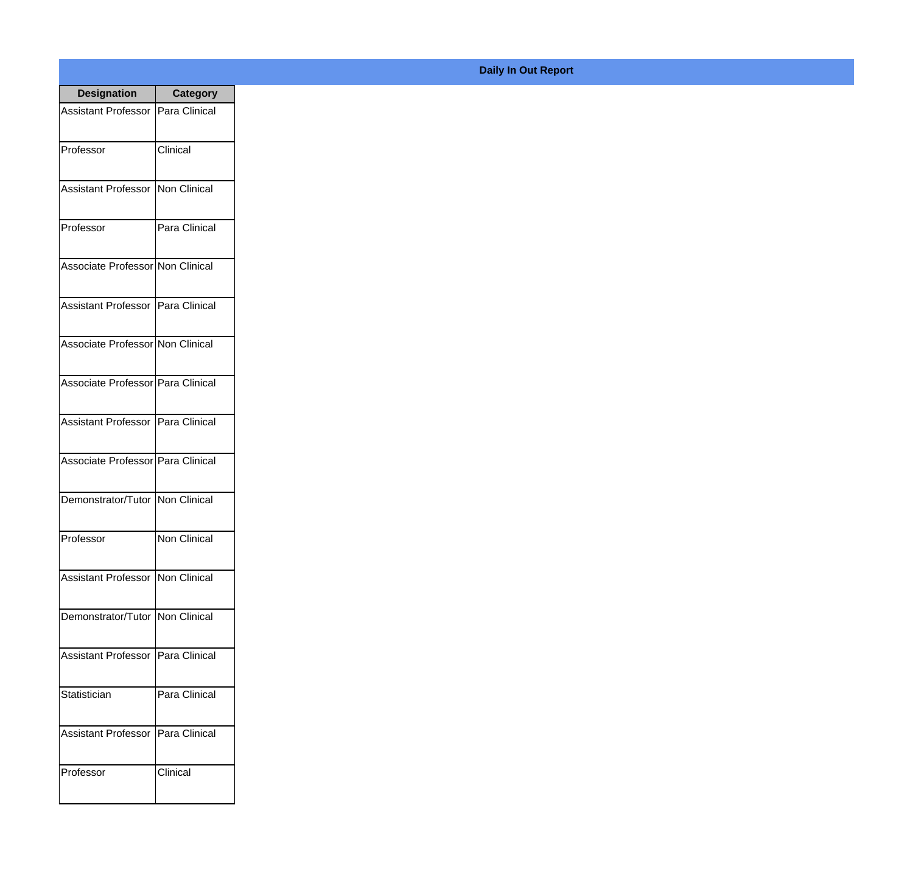| <b>Designation</b>                  | <b>Category</b> |
|-------------------------------------|-----------------|
| <b>Assistant Professor</b>          | Para Clinical   |
| Professor                           | Clinical        |
| <b>Assistant Professor</b>          | Non Clinical    |
| Professor                           | Para Clinical   |
| Associate Professor Non Clinical    |                 |
| Assistant Professor   Para Clinical |                 |
| Associate Professor Non Clinical    |                 |
| Associate Professor Para Clinical   |                 |
| Assistant Professor   Para Clinical |                 |
| Associate Professor Para Clinical   |                 |
| Demonstrator/Tutor                  | Non Clinical    |
| Professor                           | Non Clinical    |
| Assistant Professor Non Clinical    |                 |
| Demonstrator/Tutor   Non Clinical   |                 |
| <b>Assistant Professor</b>          | Para Clinical   |
| Statistician                        | Para Clinical   |
| <b>Assistant Professor</b>          | Para Clinical   |
| Professor                           | Clinical        |

**Daily In Out Report**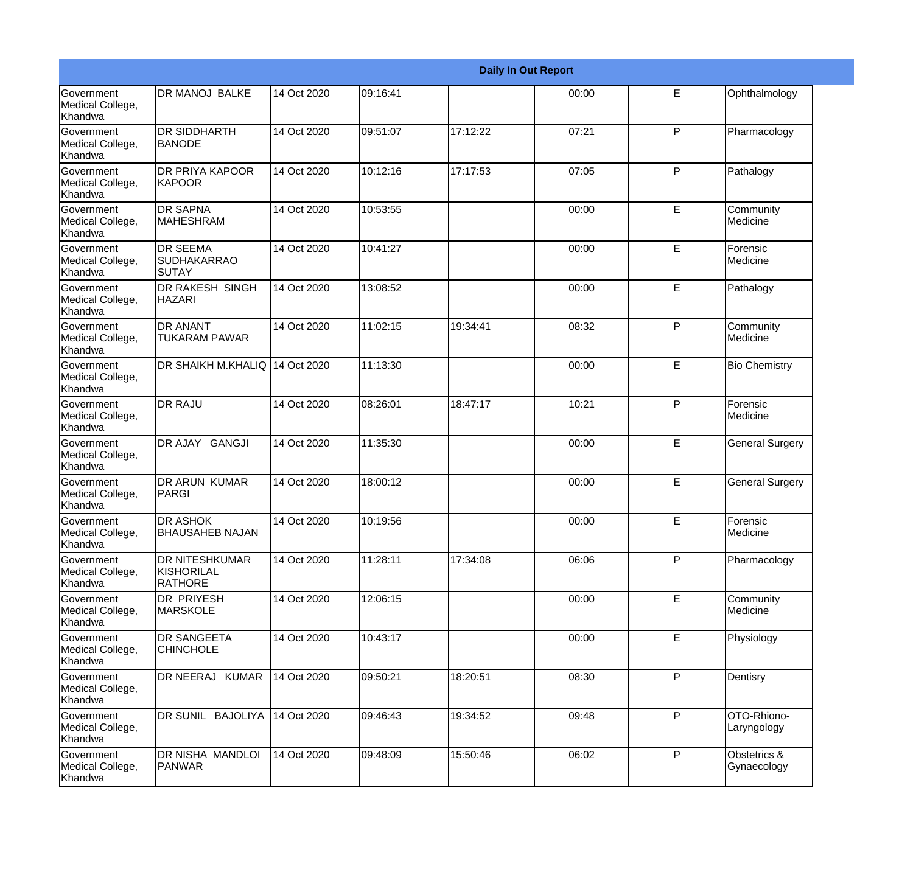|                                                  |                                                       |             |          |          | <b>Daily In Out Report</b> |   |                             |
|--------------------------------------------------|-------------------------------------------------------|-------------|----------|----------|----------------------------|---|-----------------------------|
| <b>Government</b><br>Medical College,<br>Khandwa | <b>DR MANOJ BALKE</b>                                 | 14 Oct 2020 | 09:16:41 |          | 00:00                      | E | Ophthalmology               |
| Government<br>Medical College,<br>Khandwa        | <b>DR SIDDHARTH</b><br><b>BANODE</b>                  | 14 Oct 2020 | 09:51:07 | 17:12:22 | 07:21                      | P | Pharmacology                |
| <b>Government</b><br>Medical College,<br>Khandwa | <b>DR PRIYA KAPOOR</b><br>KAPOOR                      | 14 Oct 2020 | 10:12:16 | 17:17:53 | 07:05                      | P | Pathalogy                   |
| <b>Government</b><br>Medical College,<br>Khandwa | <b>DR SAPNA</b><br><b>MAHESHRAM</b>                   | 14 Oct 2020 | 10:53:55 |          | 00:00                      | E | Community<br>Medicine       |
| Government<br>Medical College,<br>Khandwa        | <b>DR SEEMA</b><br><b>SUDHAKARRAO</b><br>SUTAY        | 14 Oct 2020 | 10:41:27 |          | 00:00                      | E | Forensic<br>Medicine        |
| Government<br>Medical College,<br>Khandwa        | <b>DR RAKESH SINGH</b><br><b>HAZARI</b>               | 14 Oct 2020 | 13:08:52 |          | 00:00                      | E | Pathalogy                   |
| Government<br>Medical College,<br>Khandwa        | <b>DR ANANT</b><br><b>TUKARAM PAWAR</b>               | 14 Oct 2020 | 11:02:15 | 19:34:41 | 08:32                      | P | Community<br>Medicine       |
| Government<br>Medical College,<br>Khandwa        | <b>DR SHAIKH M.KHALIQ</b>                             | 14 Oct 2020 | 11:13:30 |          | 00:00                      | E | <b>Bio Chemistry</b>        |
| Government<br>Medical College,<br>Khandwa        | <b>DR RAJU</b>                                        | 14 Oct 2020 | 08:26:01 | 18:47:17 | 10:21                      | P | Forensic<br>Medicine        |
| Government<br>Medical College,<br>Khandwa        | DR AJAY GANGJI                                        | 14 Oct 2020 | 11:35:30 |          | 00:00                      | E | <b>General Surgery</b>      |
| <b>Government</b><br>Medical College,<br>Khandwa | <b>DR ARUN KUMAR</b><br>PARGI                         | 14 Oct 2020 | 18:00:12 |          | 00:00                      | E | <b>General Surgery</b>      |
| Government<br>Medical College,<br>Khandwa        | <b>DR ASHOK</b><br><b>BHAUSAHEB NAJAN</b>             | 14 Oct 2020 | 10:19:56 |          | 00:00                      | E | <b>Forensic</b><br>Medicine |
| Government<br>Medical College,<br>Khandwa        | <b>DR NITESHKUMAR</b><br>KISHORILAL<br><b>RATHORE</b> | 14 Oct 2020 | 11:28:11 | 17:34:08 | 06:06                      | P | Pharmacology                |
| <b>Government</b><br>Medical College,<br>Khandwa | <b>DR PRIYESH</b><br><b>MARSKOLE</b>                  | 14 Oct 2020 | 12:06:15 |          | 00:00                      | E | Community<br>Medicine       |
| Government<br>Medical College,<br>Khandwa        | <b>DR SANGEETA</b><br><b>CHINCHOLE</b>                | 14 Oct 2020 | 10:43:17 |          | 00:00                      | E | Physiology                  |
| Government<br>Medical College,<br>Khandwa        | DR NEERAJ KUMAR                                       | 14 Oct 2020 | 09:50:21 | 18:20:51 | 08:30                      | P | Dentisry                    |
| Government<br>Medical College,<br>Khandwa        | DR SUNIL BAJOLIYA                                     | 14 Oct 2020 | 09:46:43 | 19:34:52 | 09:48                      | P | OTO-Rhiono-<br>Laryngology  |
| Government<br>Medical College,<br>Khandwa        | DR NISHA MANDLOI<br><b>PANWAR</b>                     | 14 Oct 2020 | 09:48:09 | 15:50:46 | 06:02                      | P | Obstetrics &<br>Gynaecology |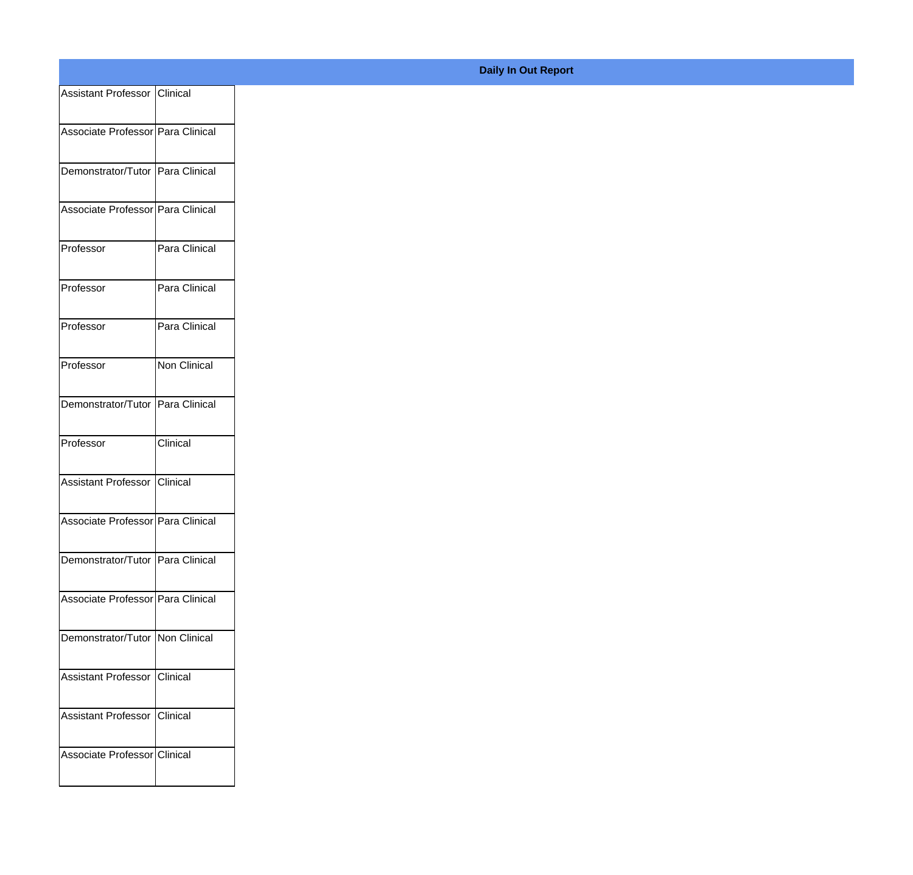| Assistant Professor   Clinical      |                     |
|-------------------------------------|---------------------|
| Associate Professor   Para Clinical |                     |
| Demonstrator/Tutor   Para Clinical  |                     |
| Associate Professor Para Clinical   |                     |
| Professor                           | Para Clinical       |
| Professor                           | Para Clinical       |
| Professor                           | Para Clinical       |
| Professor                           | <b>Non Clinical</b> |
| Demonstrator/Tutor                  | Para Clinical       |
| Professor                           | Clinical            |
| Assistant Professor                 | Clinical            |
| Associate Professor Para Clinical   |                     |
| Demonstrator/Tutor   Para Clinical  |                     |
| Associate Professor Para Clinical   |                     |
| Demonstrator/Tutor   Non Clinical   |                     |
| <b>Assistant Professor</b>          | Clinical            |
| <b>Assistant Professor</b>          | Clinical            |
| Associate Professor Clinical        |                     |

**Daily In Out Report**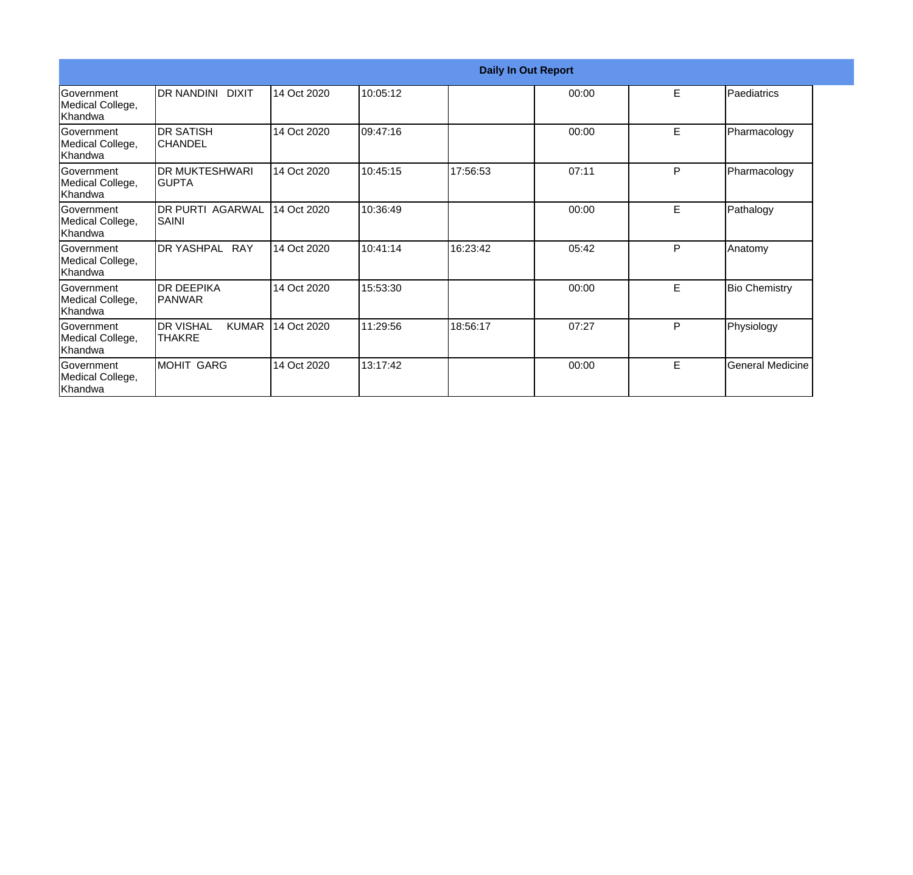|                                                   |                                            |             |          | <b>Daily In Out Report</b> |       |    |                         |
|---------------------------------------------------|--------------------------------------------|-------------|----------|----------------------------|-------|----|-------------------------|
| Government<br>Medical College,<br>lKhandwa        | DR NANDINI DIXIT                           | 14 Oct 2020 | 10:05:12 |                            | 00:00 | E  | Paediatrics             |
| Government<br>Medical College,<br>Khandwa         | <b>DR SATISH</b><br><b>CHANDEL</b>         | 14 Oct 2020 | 09:47:16 |                            | 00:00 | E  | Pharmacology            |
| Government<br>Medical College,<br>Khandwa         | <b>DR MUKTESHWARI</b><br>IGUPTA            | 14 Oct 2020 | 10:45:15 | 17:56:53                   | 07:11 | P  | Pharmacology            |
| <b>Government</b><br>Medical College,<br>lKhandwa | DR PURTI AGARWAL<br>SAINI                  | 14 Oct 2020 | 10:36:49 |                            | 00:00 | E. | Pathalogy               |
| Government<br>Medical College,<br>Khandwa         | DR YASHPAL RAY                             | 14 Oct 2020 | 10:41:14 | 16:23:42                   | 05:42 | P  | Anatomy                 |
| Government<br>Medical College,<br>Khandwa         | <b>DR DEEPIKA</b><br><b>PANWAR</b>         | 14 Oct 2020 | 15:53:30 |                            | 00:00 | E  | <b>Bio Chemistry</b>    |
| Government<br>Medical College,<br>Khandwa         | DR VISHAL<br><b>KUMAR</b><br><b>THAKRE</b> | 14 Oct 2020 | 11:29:56 | 18:56:17                   | 07:27 | P  | Physiology              |
| Government<br>Medical College,<br>Khandwa         | <b>MOHIT GARG</b>                          | 14 Oct 2020 | 13:17:42 |                            | 00:00 | E  | <b>General Medicine</b> |